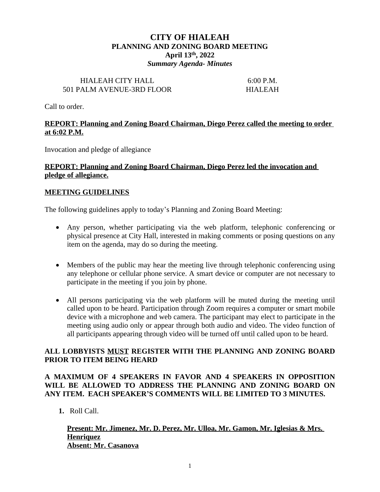# **CITY OF HIALEAH PLANNING AND ZONING BOARD MEETING April 13th, 2022** *Summary Agenda- Minutes*

#### HIALEAH CITY HALL 6:00 P.M. 501 PALM AVENUE-3RD FLOOR HIALEAH

Call to order.

### **REPORT: Planning and Zoning Board Chairman, Diego Perez called the meeting to order at 6:02 P.M.**

Invocation and pledge of allegiance

#### **REPORT: Planning and Zoning Board Chairman, Diego Perez led the invocation and pledge of allegiance.**

#### **MEETING GUIDELINES**

The following guidelines apply to today's Planning and Zoning Board Meeting:

- Any person, whether participating via the web platform, telephonic conferencing or physical presence at City Hall, interested in making comments or posing questions on any item on the agenda, may do so during the meeting.
- Members of the public may hear the meeting live through telephonic conferencing using any telephone or cellular phone service. A smart device or computer are not necessary to participate in the meeting if you join by phone.
- All persons participating via the web platform will be muted during the meeting until called upon to be heard. Participation through Zoom requires a computer or smart mobile device with a microphone and web camera. The participant may elect to participate in the meeting using audio only or appear through both audio and video. The video function of all participants appearing through video will be turned off until called upon to be heard.

### **ALL LOBBYISTS MUST REGISTER WITH THE PLANNING AND ZONING BOARD PRIOR TO ITEM BEING HEARD**

# **A MAXIMUM OF 4 SPEAKERS IN FAVOR AND 4 SPEAKERS IN OPPOSITION WILL BE ALLOWED TO ADDRESS THE PLANNING AND ZONING BOARD ON ANY ITEM. EACH SPEAKER'S COMMENTS WILL BE LIMITED TO 3 MINUTES.**

**1.** Roll Call.

#### **Present: Mr. Jimenez, Mr. D. Perez, Mr. Ulloa, Mr. Gamon, Mr. Iglesias & Mrs. Henriquez Absent: Mr. Casanova**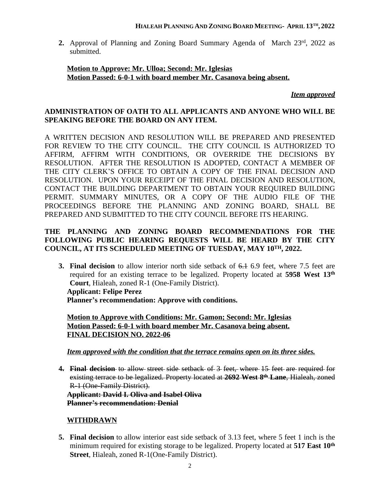2. Approval of Planning and Zoning Board Summary Agenda of March 23rd, 2022 as submitted.

## **Motion to Approve: Mr. Ulloa; Second: Mr. Iglesias Motion Passed: 6-0-1 with board member Mr. Casanova being absent.**

*Item approved*

# **ADMINISTRATION OF OATH TO ALL APPLICANTS AND ANYONE WHO WILL BE SPEAKING BEFORE THE BOARD ON ANY ITEM.**

A WRITTEN DECISION AND RESOLUTION WILL BE PREPARED AND PRESENTED FOR REVIEW TO THE CITY COUNCIL. THE CITY COUNCIL IS AUTHORIZED TO AFFIRM, AFFIRM WITH CONDITIONS, OR OVERRIDE THE DECISIONS BY RESOLUTION. AFTER THE RESOLUTION IS ADOPTED, CONTACT A MEMBER OF THE CITY CLERK'S OFFICE TO OBTAIN A COPY OF THE FINAL DECISION AND RESOLUTION. UPON YOUR RECEIPT OF THE FINAL DECISION AND RESOLUTION, CONTACT THE BUILDING DEPARTMENT TO OBTAIN YOUR REQUIRED BUILDING PERMIT. SUMMARY MINUTES, OR A COPY OF THE AUDIO FILE OF THE PROCEEDINGS BEFORE THE PLANNING AND ZONING BOARD, SHALL BE PREPARED AND SUBMITTED TO THE CITY COUNCIL BEFORE ITS HEARING.

# **THE PLANNING AND ZONING BOARD RECOMMENDATIONS FOR THE FOLLOWING PUBLIC HEARING REQUESTS WILL BE HEARD BY THE CITY COUNCIL, AT ITS SCHEDULED MEETING OF TUESDAY, MAY 10TH, 2022.**

**3. Final decision** to allow interior north side setback of 6.1 6.9 feet, where 7.5 feet are required for an existing terrace to be legalized. Property located at **5958 West 13th Court**, Hialeah, zoned R-1 (One-Family District). **Applicant: Felipe Perez Planner's recommendation: Approve with conditions.**

**Motion to Approve with Conditions: Mr. Gamon; Second: Mr. Iglesias Motion Passed: 6-0-1 with board member Mr. Casanova being absent. FINAL DECISION NO. 2022-06**

# *Item approved with the condition that the terrace remains open on its three sides.*

**4. Final decision** to allow street side setback of 3 feet, where 15 feet are required for existing terrace to be legalized. Property located at **2692 West 8 th Lane**, Hialeah, zoned R-1 (One-Family District). **Applicant: David I. Oliva and Isabel Oliva Planner's recommendation: Denial**

# **WITHDRAWN**

**5. Final decision** to allow interior east side setback of 3.13 feet, where 5 feet 1 inch is the minimum required for existing storage to be legalized. Property located at **517 East 10th Street**, Hialeah, zoned R-1(One-Family District).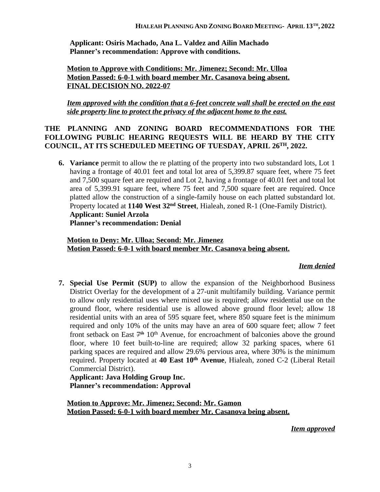**Applicant: Osiris Machado, Ana L. Valdez and Ailin Machado Planner's recommendation: Approve with conditions.**

# **Motion to Approve with Conditions: Mr. Jimenez; Second: Mr. Ulloa Motion Passed: 6-0-1 with board member Mr. Casanova being absent. FINAL DECISION NO. 2022-07**

*Item approved with the condition that a 6-feet concrete wall shall be erected on the east side property line to protect the privacy of the adjacent home to the east.*

# **THE PLANNING AND ZONING BOARD RECOMMENDATIONS FOR THE FOLLOWING PUBLIC HEARING REQUESTS WILL BE HEARD BY THE CITY COUNCIL, AT ITS SCHEDULED MEETING OF TUESDAY, APRIL 26TH, 2022.**

**6. Variance** permit to allow the re platting of the property into two substandard lots, Lot 1 having a frontage of 40.01 feet and total lot area of 5,399.87 square feet, where 75 feet and 7,500 square feet are required and Lot 2, having a frontage of 40.01 feet and total lot area of 5,399.91 square feet, where 75 feet and 7,500 square feet are required. Once platted allow the construction of a single-family house on each platted substandard lot. Property located at **1140 West 32nd Street**, Hialeah, zoned R-1 (One-Family District). **Applicant: Suniel Arzola**

**Planner's recommendation: Denial**

### **Motion to Deny: Mr. Ulloa; Second: Mr. Jimenez Motion Passed: 6-0-1 with board member Mr. Casanova being absent.**

# *Item denied*

**7. Special Use Permit (SUP)** to allow the expansion of the Neighborhood Business District Overlay for the development of a 27-unit multifamily building. Variance permit to allow only residential uses where mixed use is required; allow residential use on the ground floor, where residential use is allowed above ground floor level; allow 18 residential units with an area of 595 square feet, where 850 square feet is the minimum required and only 10% of the units may have an area of 600 square feet; allow 7 feet front setback on East 7<sup>th</sup> 10<sup>th</sup> Avenue, for encroachment of balconies above the ground floor, where 10 feet built-to-line are required; allow 32 parking spaces, where 61 parking spaces are required and allow 29.6% pervious area, where 30% is the minimum required. Property located at **40 East 10th Avenue**, Hialeah, zoned C-2 (Liberal Retail Commercial District).

**Applicant: Java Holding Group Inc. Planner's recommendation: Approval**

**Motion to Approve: Mr. Jimenez; Second: Mr. Gamon Motion Passed: 6-0-1 with board member Mr. Casanova being absent.**

*Item approved*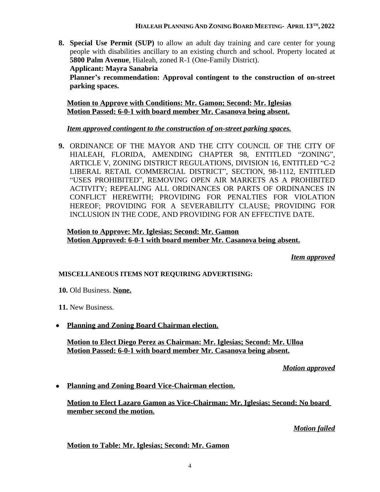**8. Special Use Permit (SUP)** to allow an adult day training and care center for young people with disabilities ancillary to an existing church and school. Property located at **5800 Palm Avenue**, Hialeah, zoned R-1 (One-Family District).

**Applicant: Mayra Sanabria**

**Planner's recommendation: Approval contingent to the construction of on-street parking spaces.**

**Motion to Approve with Conditions: Mr. Gamon; Second: Mr. Iglesias Motion Passed: 6-0-1 with board member Mr. Casanova being absent.**

# *Item approved contingent to the construction of on-street parking spaces.*

**9.** ORDINANCE OF THE MAYOR AND THE CITY COUNCIL OF THE CITY OF HIALEAH, FLORIDA, AMENDING CHAPTER 98, ENTITLED "ZONING", ARTICLE V, ZONING DISTRICT REGULATIONS, DIVISION 16, ENTITLED "C-2 LIBERAL RETAIL COMMERCIAL DISTRICT", SECTION, 98-1112, ENTITLED "USES PROHIBITED", REMOVING OPEN AIR MARKETS AS A PROHIBITED ACTIVITY; REPEALING ALL ORDINANCES OR PARTS OF ORDINANCES IN CONFLICT HEREWITH; PROVIDING FOR PENALTIES FOR VIOLATION HEREOF; PROVIDING FOR A SEVERABILITY CLAUSE; PROVIDING FOR INCLUSION IN THE CODE, AND PROVIDING FOR AN EFFECTIVE DATE.

**Motion to Approve: Mr. Iglesias; Second: Mr. Gamon Motion Approved: 6-0-1 with board member Mr. Casanova being absent.**

*Item approved*

# **MISCELLANEOUS ITEMS NOT REQUIRING ADVERTISING:**

**10.** Old Business. **None.**

**11.** New Business.

**Planning and Zoning Board Chairman election.**

**Motion to Elect Diego Perez as Chairman: Mr. Iglesias; Second: Mr. Ulloa Motion Passed: 6-0-1 with board member Mr. Casanova being absent.**

*Motion approved*

**Planning and Zoning Board Vice-Chairman election.**

**Motion to Elect Lazaro Gamon as Vice-Chairman: Mr. Iglesias; Second: No board member second the motion.**

*Motion failed*

**Motion to Table: Mr. Iglesias; Second: Mr. Gamon**